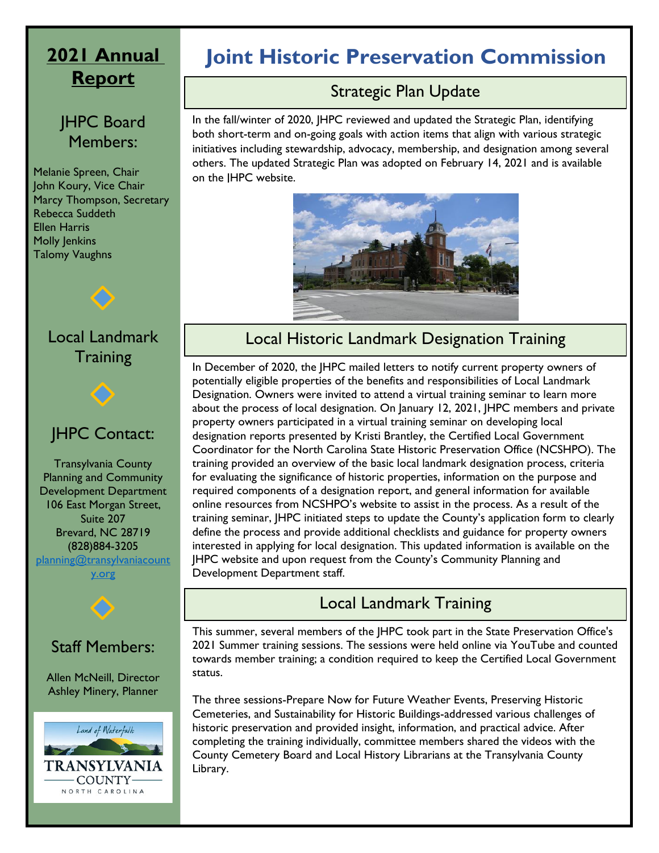# **2021 Annual Report**

#### JHPC Board Members:

Melanie Spreen, Chair John Koury, Vice Chair Marcy Thompson, Secretary Rebecca Suddeth Ellen Harris Molly Jenkins Talomy Vaughns



# JHPC Contact:

Transylvania County Planning and Community Development Department 106 East Morgan Street, Suite 207 Brevard, NC 28719 (828)884-3205

planning@transylvaniacount

y.org



#### Staff Members:

Allen McNeill, Director Ashley Minery, Planner



# **Joint Historic Preservation Commission**

# Strategic Plan Update

In the fall/winter of 2020, JHPC reviewed and updated the Strategic Plan, identifying both short-term and on-going goals with action items that align with various strategic initiatives including stewardship, advocacy, membership, and designation among several others. The updated Strategic Plan was adopted on February 14, 2021 and is available on the JHPC website.



# Local Historic Landmark Designation Training

In December of 2020, the JHPC mailed letters to notify current property owners of potentially eligible properties of the benefits and responsibilities of Local Landmark Designation. Owners were invited to attend a virtual training seminar to learn more about the process of local designation. On January 12, 2021, JHPC members and private property owners participated in a virtual training seminar on developing local designation reports presented by Kristi Brantley, the Certified Local Government Coordinator for the North Carolina State Historic Preservation Office (NCSHPO). The training provided an overview of the basic local landmark designation process, criteria for evaluating the significance of historic properties, information on the purpose and required components of a designation report, and general information for available online resources from NCSHPO's website to assist in the process. As a result of the training seminar, JHPC initiated steps to update the County's application form to clearly define the process and provide additional checklists and guidance for property owners interested in applying for local designation. This updated information is available on the JHPC website and upon request from the County's Community Planning and Development Department staff.

# Local Landmark Training

This summer, several members of the JHPC took part in the State Preservation Office's 2021 Summer training sessions. The sessions were held online via YouTube and counted towards member training; a condition required to keep the Certified Local Government status.

The three sessions-Prepare Now for Future Weather Events, Preserving Historic Cemeteries, and Sustainability for Historic Buildings-addressed various challenges of historic preservation and provided insight, information, and practical advice. After completing the training individually, committee members shared the videos with the County Cemetery Board and Local History Librarians at the Transylvania County Library.